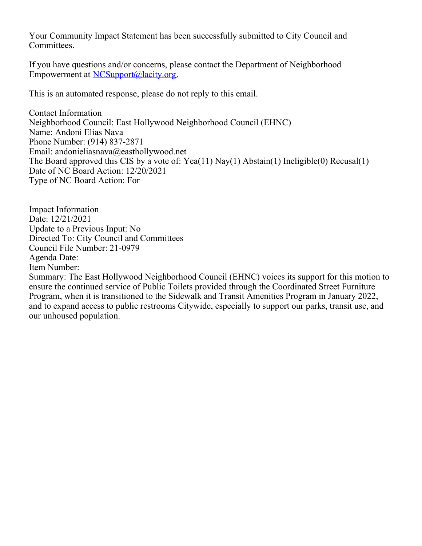Your Community Impact Statement has been successfully submitted to City Council and Committees.

If you have questions and/or concerns, please contact the Department of Neighborhood Empowerment at [NCSupport@lacity.org](mailto:NCSupport@lacity.org).

This is an automated response, please do not reply to this email.

Contact Information Neighborhood Council: East Hollywood Neighborhood Council (EHNC) Name: Andoni Elias Nava Phone Number: (914) 837-2871 Email: andonieliasnava@easthollywood.net The Board approved this CIS by a vote of: Yea(11) Nay(1) Abstain(1) Ineligible(0) Recusal(1) Date of NC Board Action: 12/20/2021 Type of NC Board Action: For

Impact Information Date: 12/21/2021 Update to a Previous Input: No Directed To: City Council and Committees Council File Number: 21-0979 Agenda Date: Item Number: Summary: The East Hollywood Neighborhood Council (EHNC) voices its support for this motion to ensure the continued service of Public Toilets provided through the Coordinated Street Furniture Program, when it is transitioned to the Sidewalk and Transit Amenities Program in January 2022, and to expand access to public restrooms Citywide, especially to support our parks, transit use, and our unhoused population.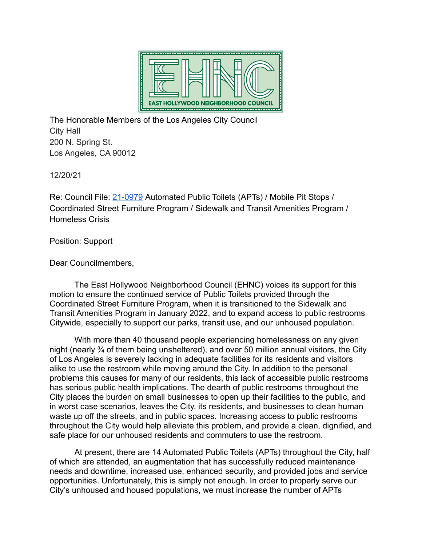

The Honorable Members of the Los Angeles City Council City Hall 200 N. Spring St. Los Angeles, CA 90012

12/20/21

Re: Council File: [21-0979](https://cityclerk.lacity.org/lacityclerkconnect/index.cfm?fa=ccfi.viewrecord&cfnumber=21-0979) Automated Public Toilets (APTs) / Mobile Pit Stops / Coordinated Street Furniture Program / Sidewalk and Transit Amenities Program / Homeless Crisis

Position: Support

Dear Councilmembers,

The East Hollywood Neighborhood Council (EHNC) voices its support for this motion to ensure the continued service of Public Toilets provided through the Coordinated Street Furniture Program, when it is transitioned to the Sidewalk and Transit Amenities Program in January 2022, and to expand access to public restrooms Citywide, especially to support our parks, transit use, and our unhoused population.

With more than 40 thousand people experiencing homelessness on any given night (nearly ¾ of them being unsheltered), and over 50 million annual visitors, the City of Los Angeles is severely lacking in adequate facilities for its residents and visitors alike to use the restroom while moving around the City. In addition to the personal problems this causes for many of our residents, this lack of accessible public restrooms has serious public health implications. The dearth of public restrooms throughout the City places the burden on small businesses to open up their facilities to the public, and in worst case scenarios, leaves the City, its residents, and businesses to clean human waste up off the streets, and in public spaces. Increasing access to public restrooms throughout the City would help alleviate this problem, and provide a clean, dignified, and safe place for our unhoused residents and commuters to use the restroom.

At present, there are 14 Automated Public Toilets (APTs) throughout the City, half of which are attended, an augmentation that has successfully reduced maintenance needs and downtime, increased use, enhanced security, and provided jobs and service opportunities. Unfortunately, this is simply not enough. In order to properly serve our City's unhoused and housed populations, we must increase the number of APTs